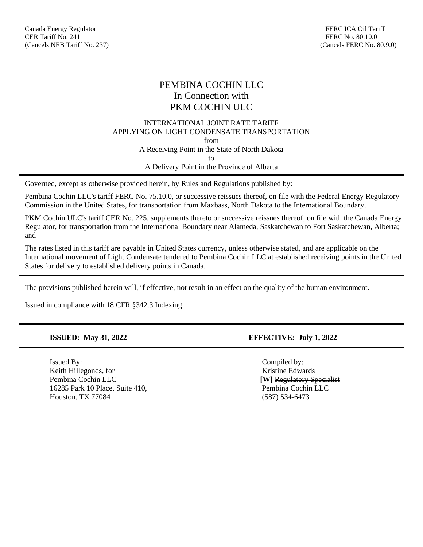# PEMBINA COCHIN LLC In Connection with PKM COCHIN ULC

### INTERNATIONAL JOINT RATE TARIFF APPLYING ON LIGHT CONDENSATE TRANSPORTATION from A Receiving Point in the State of North Dakota to A Delivery Point in the Province of Alberta

Governed, except as otherwise provided herein, by Rules and Regulations published by:

Pembina Cochin LLC's tariff FERC No. 75.10.0, or successive reissues thereof, on file with the Federal Energy Regulatory Commission in the United States, for transportation from Maxbass, North Dakota to the International Boundary.

PKM Cochin ULC's tariff CER No. 225, supplements thereto or successive reissues thereof, on file with the Canada Energy Regulator, for transportation from the International Boundary near Alameda, Saskatchewan to Fort Saskatchewan, Alberta; and

The rates listed in this tariff are payable in United States currency, unless otherwise stated, and are applicable on the International movement of Light Condensate tendered to Pembina Cochin LLC at established receiving points in the United States for delivery to established delivery points in Canada.

The provisions published herein will, if effective, not result in an effect on the quality of the human environment.

Issued in compliance with 18 CFR §342.3 Indexing.

Issued By: Compiled by: Keith Hillegonds, for **Kristine Edwards** Kristine Edwards Pembina Cochin LLC **[W]** Regulatory Specialist 16285 Park 10 Place, Suite 410, Pembina Cochin LLC Houston, TX 77084 (587) 534-6473

### **ISSUED: May 31, 2022 EFFECTIVE: July 1, 2022**